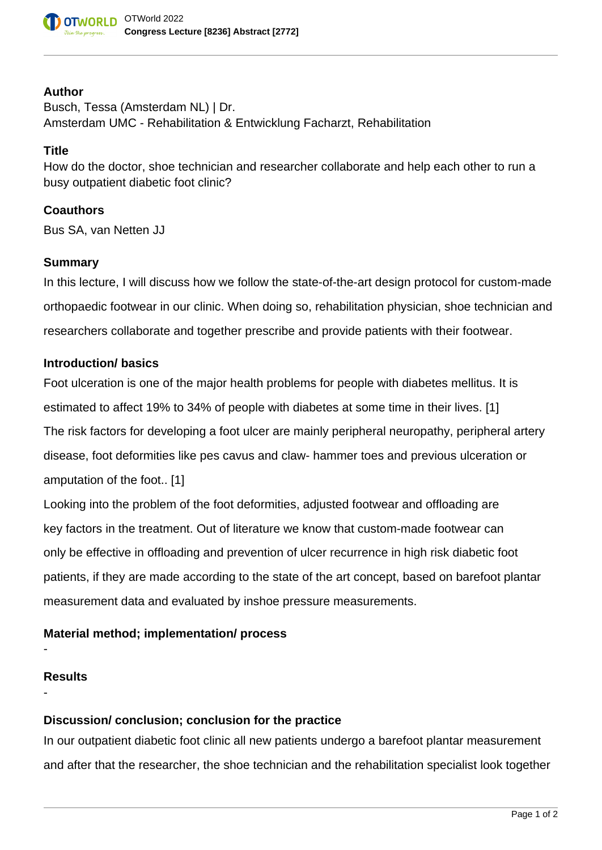

#### **Author**

Busch, Tessa (Amsterdam NL) | Dr. Amsterdam UMC - Rehabilitation & Entwicklung Facharzt, Rehabilitation

## **Title**

How do the doctor, shoe technician and researcher collaborate and help each other to run a busy outpatient diabetic foot clinic?

#### **Coauthors**

Bus SA, van Netten JJ

#### **Summary**

In this lecture, I will discuss how we follow the state-of-the-art design protocol for custom-made orthopaedic footwear in our clinic. When doing so, rehabilitation physician, shoe technician and researchers collaborate and together prescribe and provide patients with their footwear.

## **Introduction/ basics**

Foot ulceration is one of the major health problems for people with diabetes mellitus. It is estimated to affect 19% to 34% of people with diabetes at some time in their lives. [1] The risk factors for developing a foot ulcer are mainly peripheral neuropathy, peripheral artery disease, foot deformities like pes cavus and claw- hammer toes and previous ulceration or amputation of the foot.. [1]

Looking into the problem of the foot deformities, adjusted footwear and offloading are key factors in the treatment. Out of literature we know that custom-made footwear can only be effective in offloading and prevention of ulcer recurrence in high risk diabetic foot patients, if they are made according to the state of the art concept, based on barefoot plantar measurement data and evaluated by inshoe pressure measurements.

## **Material method; implementation/ process**

# **Results**

-

-

## **Discussion/ conclusion; conclusion for the practice**

In our outpatient diabetic foot clinic all new patients undergo a barefoot plantar measurement and after that the researcher, the shoe technician and the rehabilitation specialist look together